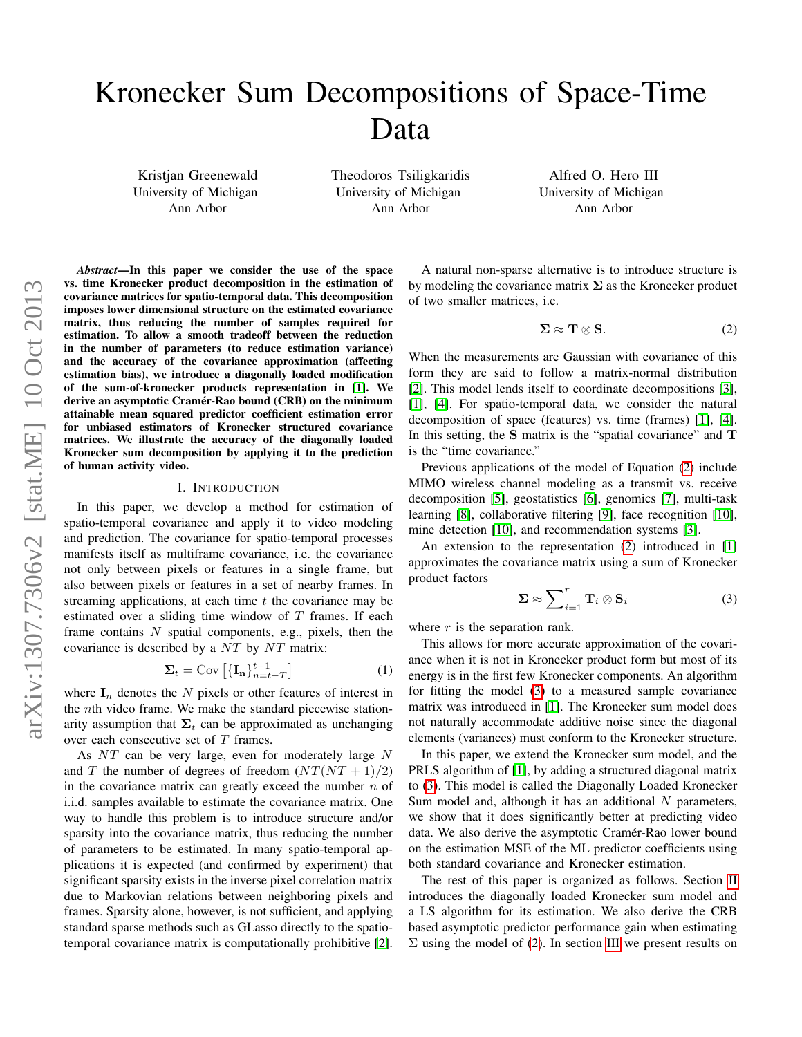# Kronecker Sum Decompositions of Space-Time Data

Kristjan Greenewald University of Michigan Ann Arbor

Theodoros Tsiligkaridis University of Michigan Ann Arbor

Alfred O. Hero III University of Michigan Ann Arbor

*Abstract*—In this paper we consider the use of the space vs. time Kronecker product decomposition in the estimation of covariance matrices for spatio-temporal data. This decomposition imposes lower dimensional structure on the estimated covariance matrix, thus reducing the number of samples required for estimation. To allow a smooth tradeoff between the reduction in the number of parameters (to reduce estimation variance) and the accuracy of the covariance approximation (affecting estimation bias), we introduce a diagonally loaded modification of the sum-of-kronecker products representation in [\[1\]](#page-4-0). We derive an asymptotic Cramér-Rao bound (CRB) on the minimum attainable mean squared predictor coefficient estimation error for unbiased estimators of Kronecker structured covariance matrices. We illustrate the accuracy of the diagonally loaded Kronecker sum decomposition by applying it to the prediction of human activity video.

### I. INTRODUCTION

In this paper, we develop a method for estimation of spatio-temporal covariance and apply it to video modeling and prediction. The covariance for spatio-temporal processes manifests itself as multiframe covariance, i.e. the covariance not only between pixels or features in a single frame, but also between pixels or features in a set of nearby frames. In streaming applications, at each time  $t$  the covariance may be estimated over a sliding time window of  $T$  frames. If each frame contains  $N$  spatial components, e.g., pixels, then the covariance is described by a  $NT$  by  $NT$  matrix:

$$
\Sigma_t = \text{Cov}\left[\{\mathbf{I_n}\}_{n=t-T}^{t-1}\right] \tag{1}
$$

where  $I_n$  denotes the N pixels or other features of interest in the nth video frame. We make the standard piecewise stationarity assumption that  $\Sigma_t$  can be approximated as unchanging over each consecutive set of T frames.

As  $NT$  can be very large, even for moderately large  $N$ and T the number of degrees of freedom  $(NT(NT + 1)/2)$ in the covariance matrix can greatly exceed the number  $n$  of i.i.d. samples available to estimate the covariance matrix. One way to handle this problem is to introduce structure and/or sparsity into the covariance matrix, thus reducing the number of parameters to be estimated. In many spatio-temporal applications it is expected (and confirmed by experiment) that significant sparsity exists in the inverse pixel correlation matrix due to Markovian relations between neighboring pixels and frames. Sparsity alone, however, is not sufficient, and applying standard sparse methods such as GLasso directly to the spatiotemporal covariance matrix is computationally prohibitive [\[2\]](#page-4-1).

A natural non-sparse alternative is to introduce structure is by modeling the covariance matrix  $\Sigma$  as the Kronecker product of two smaller matrices, i.e.

<span id="page-0-0"></span>
$$
\Sigma \approx T \otimes S. \tag{2}
$$

When the measurements are Gaussian with covariance of this form they are said to follow a matrix-normal distribution [\[2\]](#page-4-1). This model lends itself to coordinate decompositions [\[3\]](#page-4-2), [\[1\]](#page-4-0), [\[4\]](#page-4-3). For spatio-temporal data, we consider the natural decomposition of space (features) vs. time (frames) [\[1\]](#page-4-0), [\[4\]](#page-4-3). In this setting, the S matrix is the "spatial covariance" and T is the "time covariance."

Previous applications of the model of Equation [\(2\)](#page-0-0) include MIMO wireless channel modeling as a transmit vs. receive decomposition [\[5\]](#page-4-4), geostatistics [\[6\]](#page-4-5), genomics [\[7\]](#page-4-6), multi-task learning [\[8\]](#page-4-7), collaborative filtering [\[9\]](#page-4-8), face recognition [\[10\]](#page-4-9), mine detection [\[10\]](#page-4-9), and recommendation systems [\[3\]](#page-4-2).

An extension to the representation [\(2\)](#page-0-0) introduced in [\[1\]](#page-4-0) approximates the covariance matrix using a sum of Kronecker product factors

<span id="page-0-1"></span>
$$
\Sigma \approx \sum_{i=1}^{r} \mathbf{T}_{i} \otimes \mathbf{S}_{i}
$$
 (3)

where  $r$  is the separation rank.

This allows for more accurate approximation of the covariance when it is not in Kronecker product form but most of its energy is in the first few Kronecker components. An algorithm for fitting the model [\(3\)](#page-0-1) to a measured sample covariance matrix was introduced in [\[1\]](#page-4-0). The Kronecker sum model does not naturally accommodate additive noise since the diagonal elements (variances) must conform to the Kronecker structure.

In this paper, we extend the Kronecker sum model, and the PRLS algorithm of [\[1\]](#page-4-0), by adding a structured diagonal matrix to [\(3\)](#page-0-1). This model is called the Diagonally Loaded Kronecker Sum model and, although it has an additional  $N$  parameters, we show that it does significantly better at predicting video data. We also derive the asymptotic Cramér-Rao lower bound on the estimation MSE of the ML predictor coefficients using both standard covariance and Kronecker estimation.

The rest of this paper is organized as follows. Section [II](#page-1-0) introduces the diagonally loaded Kronecker sum model and a LS algorithm for its estimation. We also derive the CRB based asymptotic predictor performance gain when estimating  $\Sigma$  using the model of [\(2\)](#page-0-0). In section [III](#page-2-0) we present results on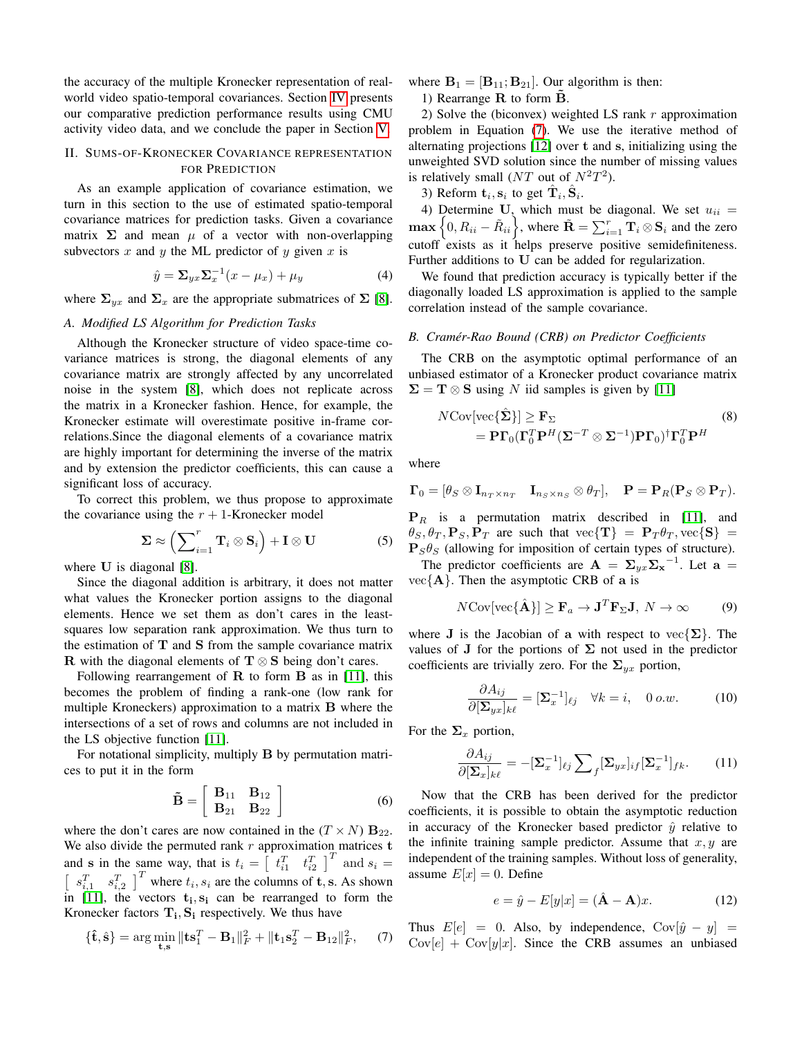the accuracy of the multiple Kronecker representation of realworld video spatio-temporal covariances. Section [IV](#page-2-1) presents our comparative prediction performance results using CMU activity video data, and we conclude the paper in Section [V.](#page-4-10)

## <span id="page-1-0"></span>II. SUMS-OF-KRONECKER COVARIANCE REPRESENTATION FOR PREDICTION

As an example application of covariance estimation, we turn in this section to the use of estimated spatio-temporal covariance matrices for prediction tasks. Given a covariance matrix  $\Sigma$  and mean  $\mu$  of a vector with non-overlapping subvectors  $x$  and  $y$  the ML predictor of  $y$  given  $x$  is

<span id="page-1-4"></span>
$$
\hat{y} = \Sigma_{yx} \Sigma_x^{-1} (x - \mu_x) + \mu_y \tag{4}
$$

where  $\Sigma_{vx}$  and  $\Sigma_x$  are the appropriate submatrices of  $\Sigma$  [\[8\]](#page-4-7).

## *A. Modified LS Algorithm for Prediction Tasks*

Although the Kronecker structure of video space-time covariance matrices is strong, the diagonal elements of any covariance matrix are strongly affected by any uncorrelated noise in the system [\[8\]](#page-4-7), which does not replicate across the matrix in a Kronecker fashion. Hence, for example, the Kronecker estimate will overestimate positive in-frame correlations.Since the diagonal elements of a covariance matrix are highly important for determining the inverse of the matrix and by extension the predictor coefficients, this can cause a significant loss of accuracy.

To correct this problem, we thus propose to approximate the covariance using the  $r + 1$ -Kronecker model

$$
\Sigma \approx \left(\sum_{i=1}^{r} \mathbf{T}_{i} \otimes \mathbf{S}_{i}\right) + \mathbf{I} \otimes \mathbf{U} \tag{5}
$$

where U is diagonal [\[8\]](#page-4-7).

Since the diagonal addition is arbitrary, it does not matter what values the Kronecker portion assigns to the diagonal elements. Hence we set them as don't cares in the leastsquares low separation rank approximation. We thus turn to the estimation of  $T$  and  $S$  from the sample covariance matrix R with the diagonal elements of  $T \otimes S$  being don't cares.

Following rearrangement of  $\bf{R}$  to form  $\bf{B}$  as in [\[11\]](#page-4-11), this becomes the problem of finding a rank-one (low rank for multiple Kroneckers) approximation to a matrix B where the intersections of a set of rows and columns are not included in the LS objective function [\[11\]](#page-4-11).

For notational simplicity, multiply B by permutation matrices to put it in the form

$$
\tilde{\mathbf{B}} = \left[ \begin{array}{cc} \mathbf{B}_{11} & \mathbf{B}_{12} \\ \mathbf{B}_{21} & \mathbf{B}_{22} \end{array} \right] \tag{6}
$$

where the don't cares are now contained in the  $(T \times N)$   $B_{22}$ . We also divide the permuted rank  $r$  approximation matrices  $t$ and s in the same way, that is  $t_i = \begin{bmatrix} t_{i1}^T & t_{i2}^T \end{bmatrix}^T$  and  $s_i =$  $\left[\begin{array}{cc} s_{i,1}^T & s_{i,2}^T \end{array}\right]^T$  where  $t_i, s_i$  are the columns of t, s. As shown in [\[11\]](#page-4-11), the vectors  $t_i$ ,  $s_i$  can be rearranged to form the Kronecker factors  $T_i$ ,  $S_i$  respectively. We thus have

<span id="page-1-1"></span>
$$
\{\hat{\mathbf{t}}, \hat{\mathbf{s}}\} = \arg\min_{\mathbf{t}, \mathbf{s}} \|\mathbf{t}\mathbf{s}_1^T - \mathbf{B}_1\|_F^2 + \|\mathbf{t}_1\mathbf{s}_2^T - \mathbf{B}_{12}\|_F^2, \quad (7)
$$

where  $B_1 = [B_{11}; B_{21}]$ . Our algorithm is then:

1) Rearrange  $\bf{R}$  to form  $\bf{B}$ .

2) Solve the (biconvex) weighted LS rank  $r$  approximation problem in Equation [\(7\)](#page-1-1). We use the iterative method of alternating projections [\[12\]](#page-4-12) over t and s, initializing using the unweighted SVD solution since the number of missing values is relatively small (NT out of  $N^2T^2$ ).

3) Reform  $\mathbf{t}_i$ ,  $\mathbf{s}_i$  to get  $\hat{\mathbf{T}}_i$ ,  $\hat{\mathbf{S}}_i$ .

4) Determine U, which must be diagonal. We set  $u_{ii}$  =  $\max\left\{0,R_{ii}-\tilde{R}_{ii}\right\}$ , where  $\tilde{\mathbf{R}}=\sum_{i=1}^r\mathbf{T}_i\otimes\mathbf{S}_i$  and the zero cutoff exists as it helps preserve positive semidefiniteness. Further additions to U can be added for regularization.

We found that prediction accuracy is typically better if the diagonally loaded LS approximation is applied to the sample correlation instead of the sample covariance.

## *B. Cramer-Rao Bound (CRB) on Predictor Coefficients ´*

The CRB on the asymptotic optimal performance of an unbiased estimator of a Kronecker product covariance matrix  $\Sigma = T \otimes S$  using N iid samples is given by [\[11\]](#page-4-11)

<span id="page-1-3"></span>
$$
N \text{Cov}[\text{vec}\{\hat{\boldsymbol{\Sigma}}\}] \ge \mathbf{F}_{\Sigma} \tag{8}
$$
  
=  $\mathbf{P} \mathbf{\Gamma}_0 (\mathbf{\Gamma}_0^T \mathbf{P}^H (\boldsymbol{\Sigma}^{-T} \otimes \boldsymbol{\Sigma}^{-1}) \mathbf{P} \mathbf{\Gamma}_0)^{\dagger} \mathbf{\Gamma}_0^T \mathbf{P}^H$ 

where

$$
\mathbf{\Gamma}_0=[\theta_S\otimes \mathbf{I}_{n_T\times n_T} \quad \mathbf{I}_{n_S\times n_S}\otimes \theta_T], \quad \mathbf{P}=\mathbf{P}_R(\mathbf{P}_S\otimes \mathbf{P}_T).
$$

 $P_R$  is a permutation matrix described in [\[11\]](#page-4-11), and  $\theta_S$ ,  $\theta_T$ ,  $P_S$ ,  $P_T$  are such that  $\text{vec}\{\mathbf{T}\} = \mathbf{P}_T \theta_T$ ,  $\text{vec}\{\mathbf{S}\} = \mathbf{P}_T \theta_T$  $P_s \theta_s$  (allowing for imposition of certain types of structure).

The predictor coefficients are  $\mathbf{A} = \sum_{yx} \sum_{x}^{-1}$ . Let  $\mathbf{a} =$  $vec{A}$ . Then the asymptotic CRB of a is

<span id="page-1-2"></span>
$$
N \text{Cov}[\text{vec}\{\hat{\mathbf{A}}\}] \ge \mathbf{F}_a \to \mathbf{J}^T \mathbf{F}_\Sigma \mathbf{J}, N \to \infty \tag{9}
$$

where J is the Jacobian of a with respect to  $\text{vec}\{\Sigma\}$ . The values of J for the portions of  $\Sigma$  not used in the predictor coefficients are trivially zero. For the  $\Sigma_{yx}$  portion,

$$
\frac{\partial A_{ij}}{\partial [\mathbf{\Sigma}_{yx}]_{k\ell}} = [\mathbf{\Sigma}_x^{-1}]_{\ell j} \quad \forall k = i, \quad 0 \text{ o.w.}
$$
 (10)

For the  $\Sigma_x$  portion,

$$
\frac{\partial A_{ij}}{\partial [\mathbf{\Sigma}_x]_{k\ell}} = -[\mathbf{\Sigma}_x^{-1}]_{\ell j} \sum_{f} [\mathbf{\Sigma}_{yx}]_{if} [\mathbf{\Sigma}_x^{-1}]_{fk}.
$$
 (11)

Now that the CRB has been derived for the predictor coefficients, it is possible to obtain the asymptotic reduction in accuracy of the Kronecker based predictor  $\hat{y}$  relative to the infinite training sample predictor. Assume that  $x, y$  are independent of the training samples. Without loss of generality, assume  $E[x] = 0$ . Define

$$
e = \hat{y} - E[y|x] = (\hat{\mathbf{A}} - \mathbf{A})x.
$$
 (12)

Thus  $E[e] = 0$ . Also, by independence,  $Cov[\hat{y} - y] =$  $Cov[e] + Cov[y|x]$ . Since the CRB assumes an unbiased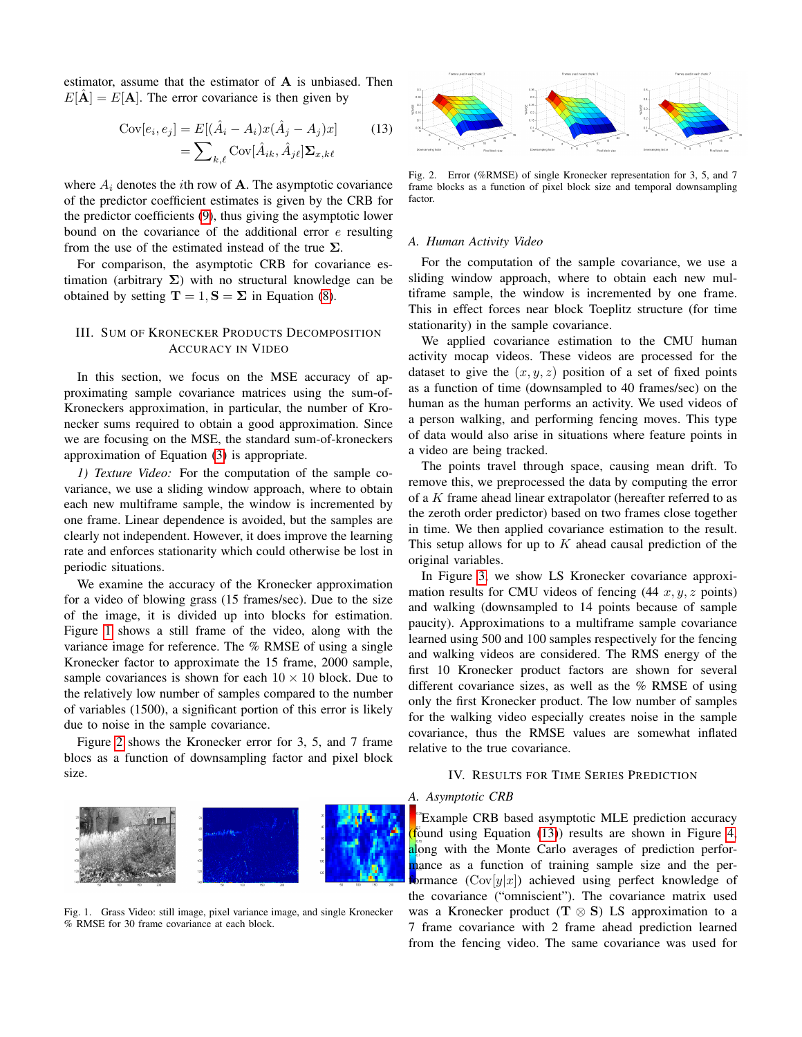estimator, assume that the estimator of A is unbiased. Then  $E[\mathbf{A}] = E[\mathbf{A}]$ . The error covariance is then given by

$$
\text{Cov}[e_i, e_j] = E[(\hat{A}_i - A_i)x(\hat{A}_j - A_j)x]
$$
  
= 
$$
\sum_{k,\ell} \text{Cov}[\hat{A}_{ik}, \hat{A}_{j\ell}] \Sigma_{x,k\ell}
$$
 (13)

where  $A_i$  denotes the *i*th row of **A**. The asymptotic covariance of the predictor coefficient estimates is given by the CRB for the predictor coefficients [\(9\)](#page-1-2), thus giving the asymptotic lower bound on the covariance of the additional error  $e$  resulting from the use of the estimated instead of the true  $\Sigma$ .

For comparison, the asymptotic CRB for covariance estimation (arbitrary  $\Sigma$ ) with no structural knowledge can be obtained by setting  $\mathbf{T} = 1, \mathbf{S} = \Sigma$  in Equation [\(8\)](#page-1-3).

## <span id="page-2-0"></span>III. SUM OF KRONECKER PRODUCTS DECOMPOSITION ACCURACY IN VIDEO

In this section, we focus on the MSE accuracy of approximating sample covariance matrices using the sum-of-Kroneckers approximation, in particular, the number of Kronecker sums required to obtain a good approximation. Since we are focusing on the MSE, the standard sum-of-kroneckers approximation of Equation [\(3\)](#page-0-1) is appropriate.

*1) Texture Video:* For the computation of the sample covariance, we use a sliding window approach, where to obtain each new multiframe sample, the window is incremented by one frame. Linear dependence is avoided, but the samples are clearly not independent. However, it does improve the learning rate and enforces stationarity which could otherwise be lost in periodic situations.

We examine the accuracy of the Kronecker approximation for a video of blowing grass (15 frames/sec). Due to the size of the image, it is divided up into blocks for estimation. Figure [1](#page-2-2) shows a still frame of the video, along with the variance image for reference. The % RMSE of using a single Kronecker factor to approximate the 15 frame, 2000 sample, sample covariances is shown for each  $10 \times 10$  block. Due to the relatively low number of samples compared to the number of variables (1500), a significant portion of this error is likely due to noise in the sample covariance.

Figure [2](#page-2-3) shows the Kronecker error for 3, 5, and 7 frame blocs as a function of downsampling factor and pixel block size.



<span id="page-2-2"></span>Fig. 1. Grass Video: still image, pixel variance image, and single Kronecker % RMSE for 30 frame covariance at each block.

<span id="page-2-4"></span>

<span id="page-2-3"></span>Fig. 2. Error (%RMSE) of single Kronecker representation for 3, 5, and 7 frame blocks as a function of pixel block size and temporal downsampling factor.

#### *A. Human Activity Video*

For the computation of the sample covariance, we use a sliding window approach, where to obtain each new multiframe sample, the window is incremented by one frame. This in effect forces near block Toeplitz structure (for time stationarity) in the sample covariance.

We applied covariance estimation to the CMU human activity mocap videos. These videos are processed for the dataset to give the  $(x, y, z)$  position of a set of fixed points as a function of time (downsampled to 40 frames/sec) on the human as the human performs an activity. We used videos of a person walking, and performing fencing moves. This type of data would also arise in situations where feature points in a video are being tracked.

The points travel through space, causing mean drift. To remove this, we preprocessed the data by computing the error of a K frame ahead linear extrapolator (hereafter referred to as the zeroth order predictor) based on two frames close together in time. We then applied covariance estimation to the result. This setup allows for up to  $K$  ahead causal prediction of the original variables.

In Figure [3,](#page-3-0) we show LS Kronecker covariance approximation results for CMU videos of fencing  $(44 x, y, z)$  points) and walking (downsampled to 14 points because of sample paucity). Approximations to a multiframe sample covariance learned using 500 and 100 samples respectively for the fencing and walking videos are considered. The RMS energy of the first 10 Kronecker product factors are shown for several different covariance sizes, as well as the % RMSE of using only the first Kronecker product. The low number of samples for the walking video especially creates noise in the sample covariance, thus the RMSE values are somewhat inflated relative to the true covariance.

#### IV. RESULTS FOR TIME SERIES PREDICTION

## <span id="page-2-1"></span>*A. Asymptotic CRB*

Example CRB based asymptotic MLE prediction accuracy found using Equation  $(13)$  results are shown in Figure [4,](#page-3-1) along with the Monte Carlo averages of prediction perforhance as a function of training sample size and the performance  $(Cov[y|x])$  achieved using perfect knowledge of the covariance ("omniscient"). The covariance matrix used was a Kronecker product ( $T \otimes S$ ) LS approximation to a 7 frame covariance with 2 frame ahead prediction learned from the fencing video. The same covariance was used for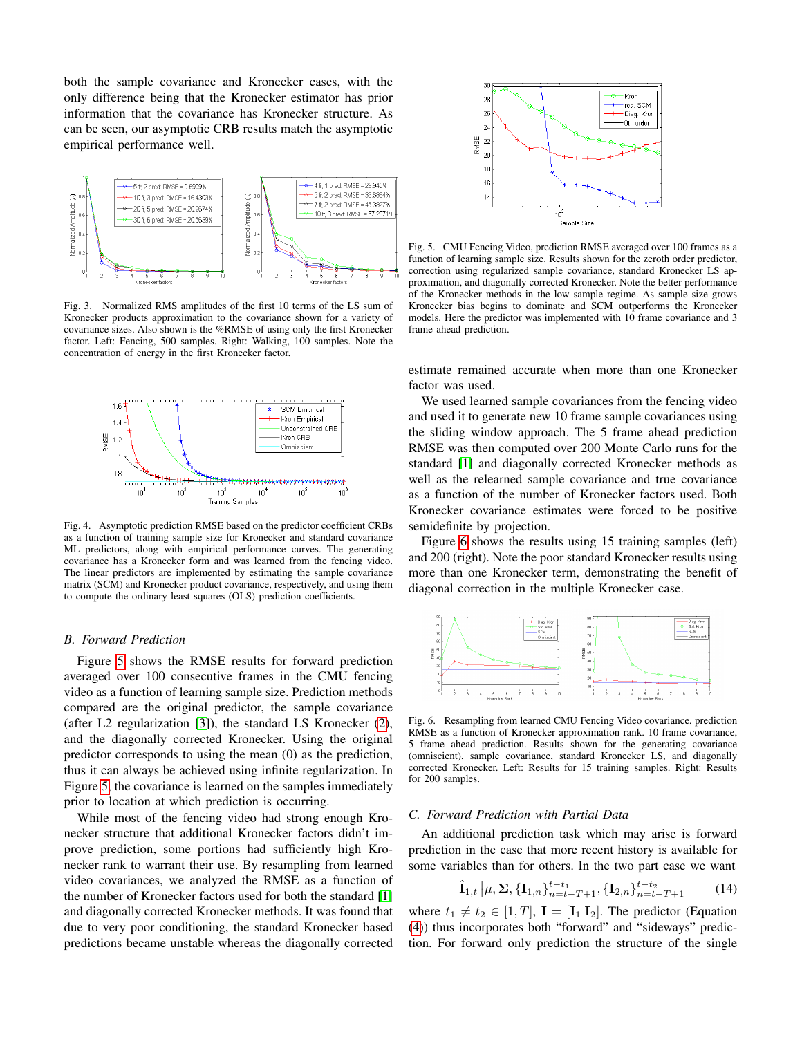both the sample covariance and Kronecker cases, with the only difference being that the Kronecker estimator has prior information that the covariance has Kronecker structure. As can be seen, our asymptotic CRB results match the asymptotic empirical performance well.



<span id="page-3-0"></span>Fig. 3. Normalized RMS amplitudes of the first 10 terms of the LS sum of Kronecker products approximation to the covariance shown for a variety of covariance sizes. Also shown is the %RMSE of using only the first Kronecker factor. Left: Fencing, 500 samples. Right: Walking, 100 samples. Note the concentration of energy in the first Kronecker factor.



<span id="page-3-1"></span>Fig. 4. Asymptotic prediction RMSE based on the predictor coefficient CRBs as a function of training sample size for Kronecker and standard covariance ML predictors, along with empirical performance curves. The generating covariance has a Kronecker form and was learned from the fencing video. The linear predictors are implemented by estimating the sample covariance matrix (SCM) and Kronecker product covariance, respectively, and using them to compute the ordinary least squares (OLS) prediction coefficients.

#### *B. Forward Prediction*

Figure [5](#page-3-2) shows the RMSE results for forward prediction averaged over 100 consecutive frames in the CMU fencing video as a function of learning sample size. Prediction methods compared are the original predictor, the sample covariance (after L2 regularization [\[3\]](#page-4-2)), the standard LS Kronecker [\(2\)](#page-0-0), and the diagonally corrected Kronecker. Using the original predictor corresponds to using the mean (0) as the prediction, thus it can always be achieved using infinite regularization. In Figure [5,](#page-3-2) the covariance is learned on the samples immediately prior to location at which prediction is occurring.

While most of the fencing video had strong enough Kronecker structure that additional Kronecker factors didn't improve prediction, some portions had sufficiently high Kronecker rank to warrant their use. By resampling from learned video covariances, we analyzed the RMSE as a function of the number of Kronecker factors used for both the standard [\[1\]](#page-4-0) and diagonally corrected Kronecker methods. It was found that due to very poor conditioning, the standard Kronecker based predictions became unstable whereas the diagonally corrected



<span id="page-3-2"></span>Fig. 5. CMU Fencing Video, prediction RMSE averaged over 100 frames as a function of learning sample size. Results shown for the zeroth order predictor, correction using regularized sample covariance, standard Kronecker LS approximation, and diagonally corrected Kronecker. Note the better performance of the Kronecker methods in the low sample regime. As sample size grows Kronecker bias begins to dominate and SCM outperforms the Kronecker models. Here the predictor was implemented with 10 frame covariance and 3 frame ahead prediction.

estimate remained accurate when more than one Kronecker factor was used.

We used learned sample covariances from the fencing video and used it to generate new 10 frame sample covariances using the sliding window approach. The 5 frame ahead prediction RMSE was then computed over 200 Monte Carlo runs for the standard [\[1\]](#page-4-0) and diagonally corrected Kronecker methods as well as the relearned sample covariance and true covariance as a function of the number of Kronecker factors used. Both Kronecker covariance estimates were forced to be positive semidefinite by projection.

Figure [6](#page-3-3) shows the results using 15 training samples (left) and 200 (right). Note the poor standard Kronecker results using more than one Kronecker term, demonstrating the benefit of diagonal correction in the multiple Kronecker case.



<span id="page-3-3"></span>Fig. 6. Resampling from learned CMU Fencing Video covariance, prediction RMSE as a function of Kronecker approximation rank. 10 frame covariance, 5 frame ahead prediction. Results shown for the generating covariance (omniscient), sample covariance, standard Kronecker LS, and diagonally corrected Kronecker. Left: Results for 15 training samples. Right: Results for 200 samples.

## *C. Forward Prediction with Partial Data*

An additional prediction task which may arise is forward prediction in the case that more recent history is available for some variables than for others. In the two part case we want

$$
\hat{\mathbf{I}}_{1,t} | \mu, \Sigma, \{ \mathbf{I}_{1,n} \}_{n=t-T+1}^{t-t_1}, \{ \mathbf{I}_{2,n} \}_{n=t-T+1}^{t-t_2}
$$
 (14)

where  $t_1 \neq t_2 \in [1, T]$ ,  $\mathbf{I} = [\mathbf{I}_1 \mathbf{I}_2]$ . The predictor (Equation [\(4\)](#page-1-4)) thus incorporates both "forward" and "sideways" prediction. For forward only prediction the structure of the single